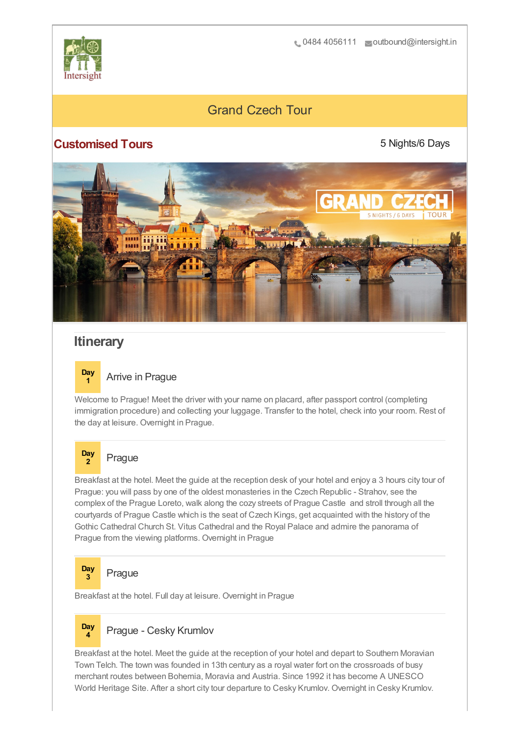

# Grand Czech Tour

### **Customised Tours**

5 Nights/6 Days



## **Itinerary**



Welcome to Prague! Meet the driver with your name on placard, after passport control (completing immigration procedure) and collecting your luggage. Transfer to the hotel, check into your room. Rest of the day at leisure. Overnight in Prague.

#### **Day <sup>2</sup>** Prague

Breakfast at the hotel. Meet the guide at the reception desk of your hotel and enjoy a 3 hours city tour of Prague: you will pass by one of the oldest monasteries in the Czech Republic - Strahov, see the complex of the Prague Loreto, walk along the cozy streets of Prague Castle and stroll through all the courtyards of Prague Castle which is the seat of Czech Kings, get acquainted with the history of the Gothic Cathedral Church St. Vitus Cathedral and the Royal Palace and admire the panorama of Prague from the viewing platforms. Overnight in Prague



**<sup>3</sup>** Prague

Breakfast at the hotel. Full day at leisure. Overnight in Prague

#### **Day <sup>4</sup>** Prague - Cesky Krumlov

Breakfast at the hotel. Meet the guide at the reception of your hotel and depart to Southern Moravian Town Telch. The town was founded in 13th century as a royal water fort on the crossroads of busy merchant routes between Bohemia, Moravia and Austria. Since 1992 it has become A UNESCO World Heritage Site. After a short city tour departure to Cesky Krumlov. Overnight in Cesky Krumlov.